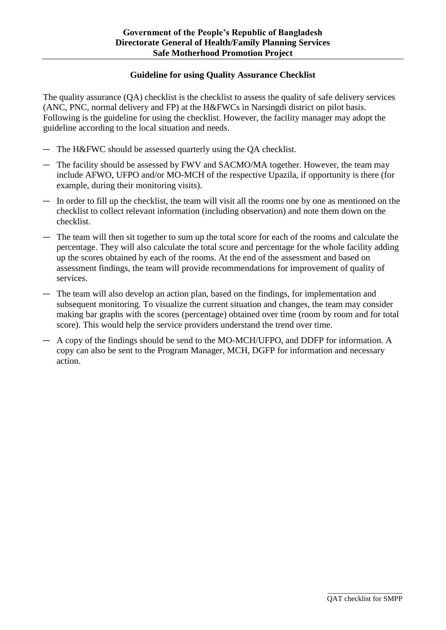#### **Guideline for using Quality Assurance Checklist**

The quality assurance (QA) checklist is the checklist to assess the quality of safe delivery services (ANC, PNC, normal delivery and FP) at the H&FWCs in Narsingdi district on pilot basis. Following is the guideline for using the checklist. However, the facility manager may adopt the guideline according to the local situation and needs.

- ― The H&FWC should be assessed quarterly using the QA checklist.
- ― The facility should be assessed by FWV and SACMO/MA together. However, the team may include AFWO, UFPO and/or MO-MCH of the respective Upazila, if opportunity is there (for example, during their monitoring visits).
- ― In order to fill up the checklist, the team will visit all the rooms one by one as mentioned on the checklist to collect relevant information (including observation) and note them down on the checklist.
- ― The team will then sit together to sum up the total score for each of the rooms and calculate the percentage. They will also calculate the total score and percentage for the whole facility adding up the scores obtained by each of the rooms. At the end of the assessment and based on assessment findings, the team will provide recommendations for improvement of quality of services.
- ― The team will also develop an action plan, based on the findings, for implementation and subsequent monitoring. To visualize the current situation and changes, the team may consider making bar graphs with the scores (percentage) obtained over time (room by room and for total score). This would help the service providers understand the trend over time.
- ― A copy of the findings should be send to the MO-MCH/UFPO, and DDFP for information. A copy can also be sent to the Program Manager, MCH, DGFP for information and necessary action.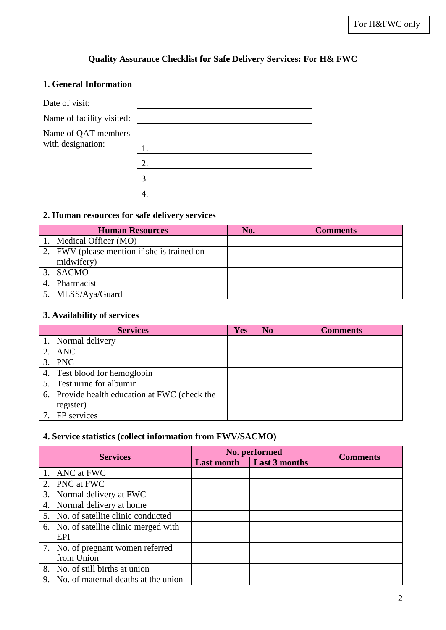# **Quality Assurance Checklist for Safe Delivery Services: For H& FWC**

### **1. General Information**

| Date of visit:            |    |
|---------------------------|----|
| Name of facility visited: |    |
| Name of QAT members       |    |
| with designation:         | 1. |
|                           | 2. |
|                           | 3. |
|                           |    |

### **2. Human resources for safe delivery services**

|    | <b>Human Resources</b>                      | No. | <b>Comments</b> |
|----|---------------------------------------------|-----|-----------------|
|    | 1. Medical Officer (MO)                     |     |                 |
|    | 2. FWV (please mention if she is trained on |     |                 |
|    | midwifery)                                  |     |                 |
|    | 3. SACMO                                    |     |                 |
| 4. | Pharmacist                                  |     |                 |
|    | 5. MLSS/Aya/Guard                           |     |                 |

### **3. Availability of services**

| <b>Services</b>                               | <b>Yes</b> | N <sub>0</sub> | <b>Comments</b> |
|-----------------------------------------------|------------|----------------|-----------------|
| 1. Normal delivery                            |            |                |                 |
| 2. ANC                                        |            |                |                 |
| 3. PNC                                        |            |                |                 |
| 4. Test blood for hemoglobin                  |            |                |                 |
| 5. Test urine for albumin                     |            |                |                 |
| 6. Provide health education at FWC (check the |            |                |                 |
| register)                                     |            |                |                 |
| 7. FP services                                |            |                |                 |

#### **4. Service statistics (collect information from FWV/SACMO)**

|                 |                                        |                   | No. performed        |                 |
|-----------------|----------------------------------------|-------------------|----------------------|-----------------|
| <b>Services</b> |                                        | <b>Last month</b> | <b>Last 3 months</b> | <b>Comments</b> |
|                 | 1. ANC at FWC                          |                   |                      |                 |
|                 | 2. PNC at FWC                          |                   |                      |                 |
|                 | 3. Normal delivery at FWC              |                   |                      |                 |
|                 | 4. Normal delivery at home             |                   |                      |                 |
|                 | 5. No. of satellite clinic conducted   |                   |                      |                 |
|                 | 6. No. of satellite clinic merged with |                   |                      |                 |
|                 | EPI                                    |                   |                      |                 |
|                 | 7. No. of pregnant women referred      |                   |                      |                 |
|                 | from Union                             |                   |                      |                 |
|                 | 8. No. of still births at union        |                   |                      |                 |
|                 | 9. No. of maternal deaths at the union |                   |                      |                 |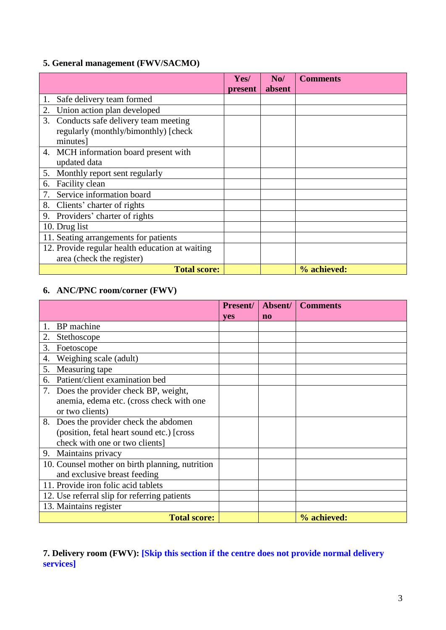## **5. General management (FWV/SACMO)**

|                                                 | Yes/    | N <sub>0</sub> | <b>Comments</b> |
|-------------------------------------------------|---------|----------------|-----------------|
|                                                 | present | absent         |                 |
| Safe delivery team formed<br>1.                 |         |                |                 |
| 2.<br>Union action plan developed               |         |                |                 |
| 3. Conducts safe delivery team meeting          |         |                |                 |
| regularly (monthly/bimonthly) [check            |         |                |                 |
| minutes]                                        |         |                |                 |
| 4. MCH information board present with           |         |                |                 |
| updated data                                    |         |                |                 |
| 5. Monthly report sent regularly                |         |                |                 |
| Facility clean<br>6.                            |         |                |                 |
| Service information board<br>7.                 |         |                |                 |
| 8.<br>Clients' charter of rights                |         |                |                 |
| Providers' charter of rights<br>9.              |         |                |                 |
| 10. Drug list                                   |         |                |                 |
| 11. Seating arrangements for patients           |         |                |                 |
| 12. Provide regular health education at waiting |         |                |                 |
| area (check the register)                       |         |                |                 |
| <b>Total score:</b>                             |         |                | % achieved:     |

## **6. ANC/PNC room/corner (FWV)**

|                                                 | <b>Present/</b> | Absent/ | <b>Comments</b> |
|-------------------------------------------------|-----------------|---------|-----------------|
|                                                 | <b>ves</b>      | no      |                 |
| BP machine                                      |                 |         |                 |
| 2.<br>Stethoscope                               |                 |         |                 |
| 3.<br>Foetoscope                                |                 |         |                 |
| Weighing scale (adult)<br>4.                    |                 |         |                 |
| Measuring tape<br>5.                            |                 |         |                 |
| Patient/client examination bed<br>6.            |                 |         |                 |
| Does the provider check BP, weight,<br>7.       |                 |         |                 |
| anemia, edema etc. (cross check with one        |                 |         |                 |
| or two clients)                                 |                 |         |                 |
| 8.<br>Does the provider check the abdomen       |                 |         |                 |
| (position, fetal heart sound etc.) [cross]      |                 |         |                 |
| check with one or two clients]                  |                 |         |                 |
| Maintains privacy<br>9.                         |                 |         |                 |
| 10. Counsel mother on birth planning, nutrition |                 |         |                 |
| and exclusive breast feeding                    |                 |         |                 |
| 11. Provide iron folic acid tablets             |                 |         |                 |
| 12. Use referral slip for referring patients    |                 |         |                 |
| 13. Maintains register                          |                 |         |                 |
| <b>Total score:</b>                             |                 |         | % achieved:     |

## **7. Delivery room (FWV): [Skip this section if the centre does not provide normal delivery services]**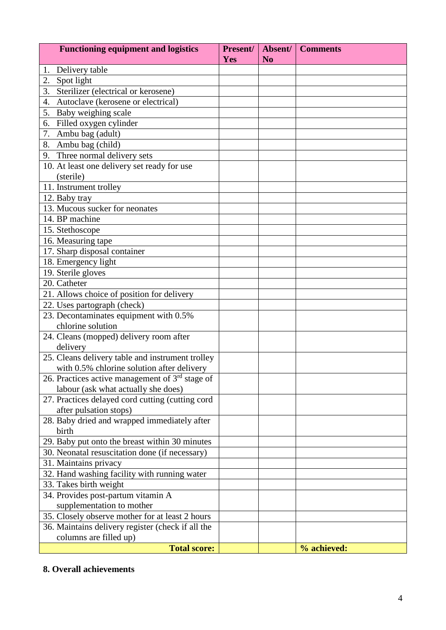| <b>Functioning equipment and logistics</b>        | Present/<br><b>Yes</b> | Absent/<br>N <sub>0</sub> | <b>Comments</b> |
|---------------------------------------------------|------------------------|---------------------------|-----------------|
| Delivery table<br>1.                              |                        |                           |                 |
| Spot light<br>2.                                  |                        |                           |                 |
| Sterilizer (electrical or kerosene)<br>3.         |                        |                           |                 |
| Autoclave (kerosene or electrical)<br>4.          |                        |                           |                 |
| 5.<br>Baby weighing scale                         |                        |                           |                 |
| Filled oxygen cylinder<br>6.                      |                        |                           |                 |
| 7. Ambu bag (adult)                               |                        |                           |                 |
| 8. Ambu bag (child)                               |                        |                           |                 |
| 9. Three normal delivery sets                     |                        |                           |                 |
| 10. At least one delivery set ready for use       |                        |                           |                 |
| (sterile)                                         |                        |                           |                 |
| 11. Instrument trolley                            |                        |                           |                 |
| 12. Baby tray                                     |                        |                           |                 |
| 13. Mucous sucker for neonates                    |                        |                           |                 |
| 14. BP machine                                    |                        |                           |                 |
| 15. Stethoscope                                   |                        |                           |                 |
| 16. Measuring tape                                |                        |                           |                 |
| 17. Sharp disposal container                      |                        |                           |                 |
| 18. Emergency light                               |                        |                           |                 |
| 19. Sterile gloves                                |                        |                           |                 |
| 20. Catheter                                      |                        |                           |                 |
| 21. Allows choice of position for delivery        |                        |                           |                 |
| 22. Uses partograph (check)                       |                        |                           |                 |
| 23. Decontaminates equipment with 0.5%            |                        |                           |                 |
| chlorine solution                                 |                        |                           |                 |
| 24. Cleans (mopped) delivery room after           |                        |                           |                 |
| delivery                                          |                        |                           |                 |
| 25. Cleans delivery table and instrument trolley  |                        |                           |                 |
| with 0.5% chlorine solution after delivery        |                        |                           |                 |
| 26. Practices active management of $3rd$ stage of |                        |                           |                 |
| labour (ask what actually she does)               |                        |                           |                 |
| 27. Practices delayed cord cutting (cutting cord  |                        |                           |                 |
| after pulsation stops)                            |                        |                           |                 |
| 28. Baby dried and wrapped immediately after      |                        |                           |                 |
| birth                                             |                        |                           |                 |
| 29. Baby put onto the breast within 30 minutes    |                        |                           |                 |
| 30. Neonatal resuscitation done (if necessary)    |                        |                           |                 |
| 31. Maintains privacy                             |                        |                           |                 |
| 32. Hand washing facility with running water      |                        |                           |                 |
| 33. Takes birth weight                            |                        |                           |                 |
| 34. Provides post-partum vitamin A                |                        |                           |                 |
| supplementation to mother                         |                        |                           |                 |
| 35. Closely observe mother for at least 2 hours   |                        |                           |                 |
| 36. Maintains delivery register (check if all the |                        |                           |                 |
| columns are filled up)                            |                        |                           |                 |
| <b>Total score:</b>                               |                        |                           | % achieved:     |

## **8. Overall achievements**